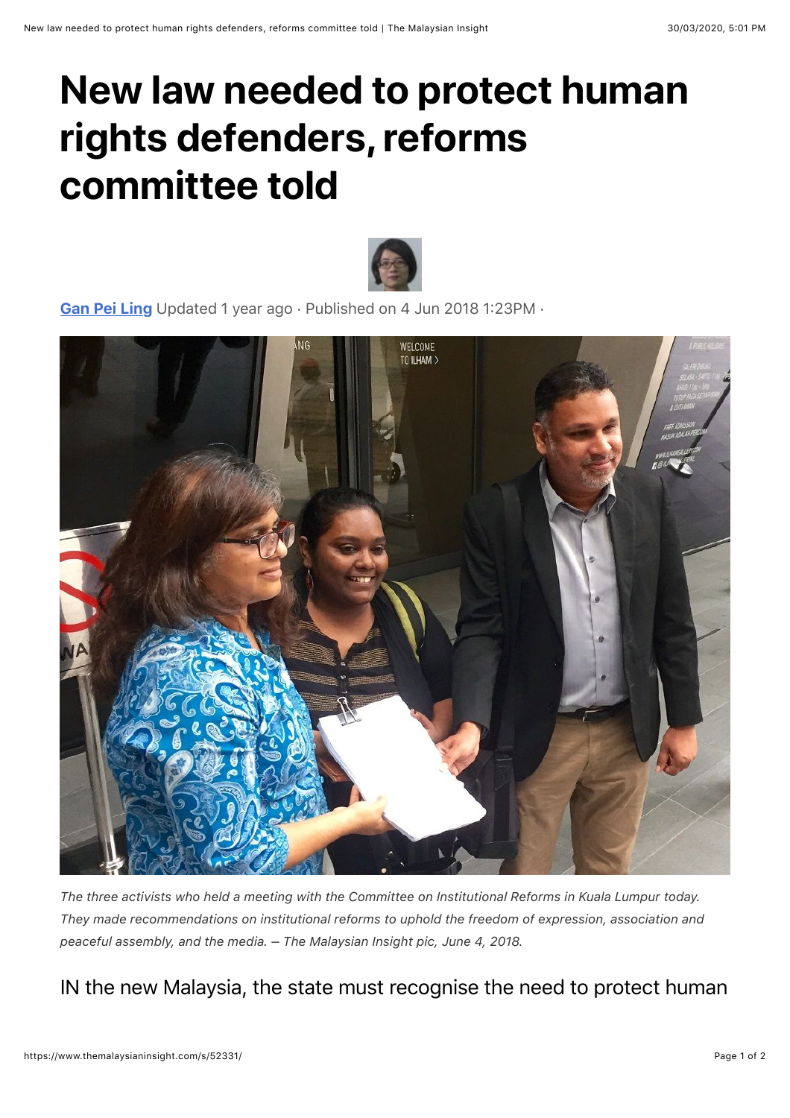## **New law needed to protect human rights defenders, reforms committee told**



[Gan Pei Ling](https://www.themalaysianinsight.com/a/17935) Updated 1 year ago · Published on 4 Jun 2018 1:23PM ·



*The three activists who held a meeting with the Committee on Institutional Reforms in Kuala Lumpur today. They made recommendations on institutional reforms to uphold the freedom of expression, association and peaceful assembly, and the media. – The Malaysian Insight pic, June 4, 2018.*

IN the new Malaysia, the state must recognise the need to protect human